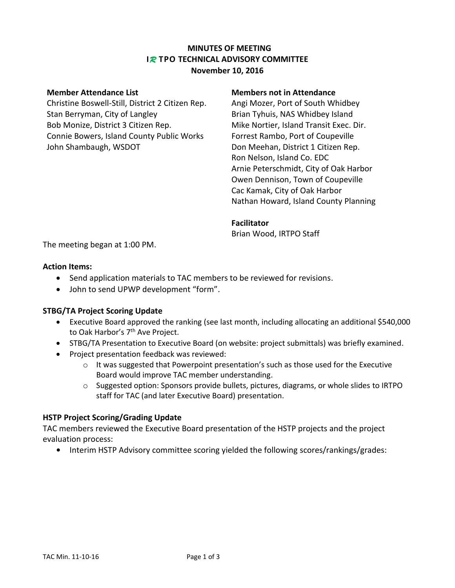## **MINUTES OF MEETING I***R* **TPO TECHNICAL ADVISORY COMMITTEE November 10, 2016**

Christine Boswell-Still, District 2 Citizen Rep. Angi Mozer, Port of South Whidbey Stan Berryman, City of Langley Brian Tyhuis, NAS Whidbey Island Bob Monize, District 3 Citizen Rep. Mike Nortier, Island Transit Exec. Dir. Connie Bowers, Island County Public Works Forrest Rambo, Port of Coupeville John Shambaugh, WSDOT **Don Meehan, District 1 Citizen Rep.** 

### **Member Attendance List Members not in Attendance**

Ron Nelson, Island Co. EDC Arnie Peterschmidt, City of Oak Harbor Owen Dennison, Town of Coupeville Cac Kamak, City of Oak Harbor Nathan Howard, Island County Planning

#### **Facilitator**

Brian Wood, IRTPO Staff

The meeting began at 1:00 PM.

## **Action Items:**

- Send application materials to TAC members to be reviewed for revisions.
- John to send UPWP development "form".

## **STBG/TA Project Scoring Update**

- Executive Board approved the ranking (see last month, including allocating an additional \$540,000 to Oak Harbor's 7<sup>th</sup> Ave Project.
- STBG/TA Presentation to Executive Board (on website: project submittals) was briefly examined.
- Project presentation feedback was reviewed:
	- $\circ$  It was suggested that Powerpoint presentation's such as those used for the Executive Board would improve TAC member understanding.
	- $\circ$  Suggested option: Sponsors provide bullets, pictures, diagrams, or whole slides to IRTPO staff for TAC (and later Executive Board) presentation.

## **HSTP Project Scoring/Grading Update**

TAC members reviewed the Executive Board presentation of the HSTP projects and the project evaluation process:

**•** Interim HSTP Advisory committee scoring yielded the following scores/rankings/grades: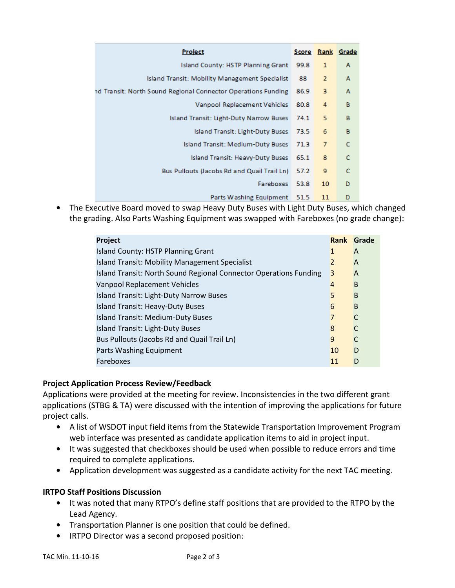| <b>Project</b>                                                |      |                | Score Rank Grade |
|---------------------------------------------------------------|------|----------------|------------------|
| <b>Island County: HSTP Planning Grant</b>                     | 99.8 | 1              | A                |
| Island Transit: Mobility Management Specialist                | 88   | $\overline{2}$ | А                |
| nd Transit: North Sound Regional Connector Operations Funding | 86.9 | 3              | A                |
| Vanpool Replacement Vehicles                                  | 80.8 | 4              | в                |
| Island Transit: Light-Duty Narrow Buses                       | 74.1 | 5              | В                |
| Island Transit: Light-Duty Buses                              | 73.5 | 6              | в                |
| Island Transit: Medium-Duty Buses                             | 71.3 | 7              | c                |
| Island Transit: Heavy-Duty Buses                              | 65.1 | 8              | c                |
| Bus Pullouts (Jacobs Rd and Quail Trail Ln)                   | 57.2 | 9              | c                |
| Fareboxes                                                     | 53.8 | 10             | D                |
| Parts Washing Equipment 51.5                                  |      | 11             | D                |

**•** The Executive Board moved to swap Heavy Duty Buses with Light Duty Buses, which changed the grading. Also Parts Washing Equipment was swapped with Fareboxes (no grade change):

| Project                                                           | <b>Rank</b>    | Grade |
|-------------------------------------------------------------------|----------------|-------|
| Island County: HSTP Planning Grant                                | 1              | A     |
| Island Transit: Mobility Management Specialist                    | $\mathfrak{p}$ | A     |
| Island Transit: North Sound Regional Connector Operations Funding | 3              | A     |
| <b>Vanpool Replacement Vehicles</b>                               | $\overline{4}$ | B     |
| <b>Island Transit: Light-Duty Narrow Buses</b>                    | 5              | B     |
| <b>Island Transit: Heavy-Duty Buses</b>                           | 6              | B     |
| <b>Island Transit: Medium-Duty Buses</b>                          | 7              | C     |
| <b>Island Transit: Light-Duty Buses</b>                           | 8              | C     |
| Bus Pullouts (Jacobs Rd and Quail Trail Ln)                       | 9              |       |
| Parts Washing Equipment                                           | 10             | D     |
| Fareboxes                                                         | 11             | D     |

# **Project Application Process Review/Feedback**

Applications were provided at the meeting for review. Inconsistencies in the two different grant applications (STBG & TA) were discussed with the intention of improving the applications for future project calls.

- **•** A list of WSDOT input field items from the Statewide Transportation Improvement Program web interface was presented as candidate application items to aid in project input.
- **•** It was suggested that checkboxes should be used when possible to reduce errors and time required to complete applications.
- **•** Application development was suggested as a candidate activity for the next TAC meeting.

# **IRTPO Staff Positions Discussion**

- **•** It was noted that many RTPO's define staff positions that are provided to the RTPO by the Lead Agency.
- **•** Transportation Planner is one position that could be defined.
- **•** IRTPO Director was a second proposed position: